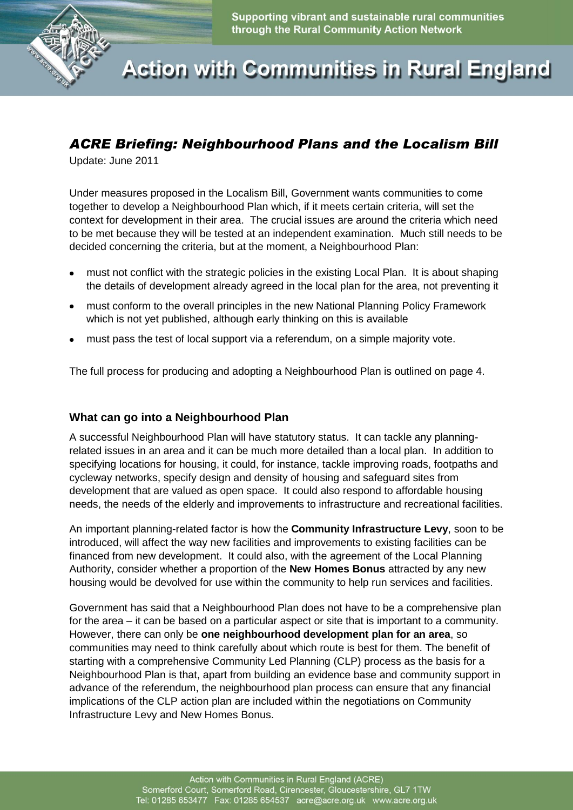

**Action with Communities in Rural England** 

## *ACRE Briefing: Neighbourhood Plans and the Localism Bill*

Update: June 2011

Under measures proposed in the Localism Bill, Government wants communities to come together to develop a Neighbourhood Plan which, if it meets certain criteria, will set the context for development in their area. The crucial issues are around the criteria which need to be met because they will be tested at an independent examination. Much still needs to be decided concerning the criteria, but at the moment, a Neighbourhood Plan:

- must not conflict with the strategic policies in the existing Local Plan. It is about shaping the details of development already agreed in the local plan for the area, not preventing it
- must conform to the overall principles in the new National Planning Policy Framework which is not yet published, although early thinking on this is available
- must pass the test of local support via a referendum, on a simple majority vote.

The full process for producing and adopting a Neighbourhood Plan is outlined on page 4.

#### **What can go into a Neighbourhood Plan**

A successful Neighbourhood Plan will have statutory status. It can tackle any planningrelated issues in an area and it can be much more detailed than a local plan. In addition to specifying locations for housing, it could, for instance, tackle improving roads, footpaths and cycleway networks, specify design and density of housing and safeguard sites from development that are valued as open space. It could also respond to affordable housing needs, the needs of the elderly and improvements to infrastructure and recreational facilities.

An important planning-related factor is how the **Community Infrastructure Levy**, soon to be introduced, will affect the way new facilities and improvements to existing facilities can be financed from new development. It could also, with the agreement of the Local Planning Authority, consider whether a proportion of the **New Homes Bonus** attracted by any new housing would be devolved for use within the community to help run services and facilities.

Government has said that a Neighbourhood Plan does not have to be a comprehensive plan for the area – it can be based on a particular aspect or site that is important to a community. However, there can only be **one neighbourhood development plan for an area**, so communities may need to think carefully about which route is best for them. The benefit of starting with a comprehensive Community Led Planning (CLP) process as the basis for a Neighbourhood Plan is that, apart from building an evidence base and community support in advance of the referendum, the neighbourhood plan process can ensure that any financial implications of the CLP action plan are included within the negotiations on Community Infrastructure Levy and New Homes Bonus.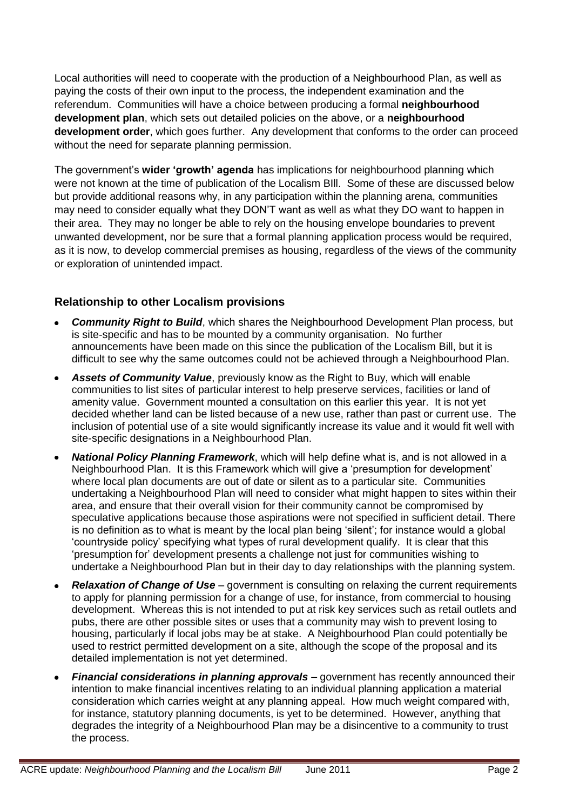Local authorities will need to cooperate with the production of a Neighbourhood Plan, as well as paying the costs of their own input to the process, the independent examination and the referendum. Communities will have a choice between producing a formal **neighbourhood development plan**, which sets out detailed policies on the above, or a **neighbourhood development order**, which goes further. Any development that conforms to the order can proceed without the need for separate planning permission.

The government's **wider 'growth' agenda** has implications for neighbourhood planning which were not known at the time of publication of the Localism BIll. Some of these are discussed below but provide additional reasons why, in any participation within the planning arena, communities may need to consider equally what they DON'T want as well as what they DO want to happen in their area. They may no longer be able to rely on the housing envelope boundaries to prevent unwanted development, nor be sure that a formal planning application process would be required, as it is now, to develop commercial premises as housing, regardless of the views of the community or exploration of unintended impact.

### **Relationship to other Localism provisions**

- *Community Right to Build*, which shares the Neighbourhood Development Plan process, but is site-specific and has to be mounted by a community organisation. No further announcements have been made on this since the publication of the Localism Bill, but it is difficult to see why the same outcomes could not be achieved through a Neighbourhood Plan.
- *Assets of Community Value*, previously know as the Right to Buy, which will enable communities to list sites of particular interest to help preserve services, facilities or land of amenity value. Government mounted a consultation on this earlier this year. It is not yet decided whether land can be listed because of a new use, rather than past or current use. The inclusion of potential use of a site would significantly increase its value and it would fit well with site-specific designations in a Neighbourhood Plan.
- *National Policy Planning Framework*, which will help define what is, and is not allowed in a Neighbourhood Plan. It is this Framework which will give a 'presumption for development' where local plan documents are out of date or silent as to a particular site. Communities undertaking a Neighbourhood Plan will need to consider what might happen to sites within their area, and ensure that their overall vision for their community cannot be compromised by speculative applications because those aspirations were not specified in sufficient detail. There is no definition as to what is meant by the local plan being 'silent'; for instance would a global 'countryside policy' specifying what types of rural development qualify. It is clear that this 'presumption for' development presents a challenge not just for communities wishing to undertake a Neighbourhood Plan but in their day to day relationships with the planning system.
- *Relaxation of Change of Use* government is consulting on relaxing the current requirements to apply for planning permission for a change of use, for instance, from commercial to housing development. Whereas this is not intended to put at risk key services such as retail outlets and pubs, there are other possible sites or uses that a community may wish to prevent losing to housing, particularly if local jobs may be at stake. A Neighbourhood Plan could potentially be used to restrict permitted development on a site, although the scope of the proposal and its detailed implementation is not yet determined.
- *Financial considerations in planning approvals –* government has recently announced their intention to make financial incentives relating to an individual planning application a material consideration which carries weight at any planning appeal. How much weight compared with, for instance, statutory planning documents, is yet to be determined. However, anything that degrades the integrity of a Neighbourhood Plan may be a disincentive to a community to trust the process.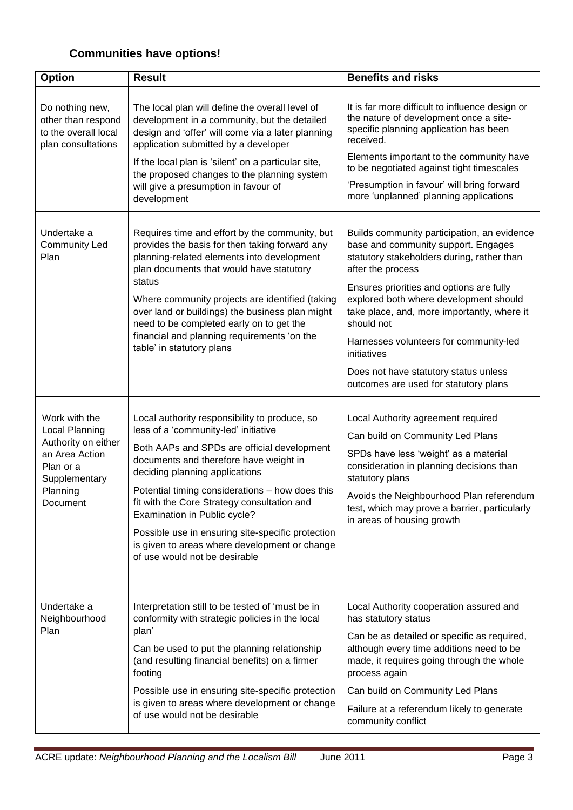# **Communities have options!**

| <b>Option</b>                                                                                                                  | <b>Result</b>                                                                                                                                                                                                                                                                                                                                                                                                                                                                             | <b>Benefits and risks</b>                                                                                                                                                                                                                                                                                                                                                                                                                           |
|--------------------------------------------------------------------------------------------------------------------------------|-------------------------------------------------------------------------------------------------------------------------------------------------------------------------------------------------------------------------------------------------------------------------------------------------------------------------------------------------------------------------------------------------------------------------------------------------------------------------------------------|-----------------------------------------------------------------------------------------------------------------------------------------------------------------------------------------------------------------------------------------------------------------------------------------------------------------------------------------------------------------------------------------------------------------------------------------------------|
| Do nothing new,<br>other than respond<br>to the overall local<br>plan consultations                                            | The local plan will define the overall level of<br>development in a community, but the detailed<br>design and 'offer' will come via a later planning<br>application submitted by a developer<br>If the local plan is 'silent' on a particular site,<br>the proposed changes to the planning system<br>will give a presumption in favour of<br>development                                                                                                                                 | It is far more difficult to influence design or<br>the nature of development once a site-<br>specific planning application has been<br>received.<br>Elements important to the community have<br>to be negotiated against tight timescales<br>'Presumption in favour' will bring forward<br>more 'unplanned' planning applications                                                                                                                   |
| Undertake a<br><b>Community Led</b><br>Plan                                                                                    | Requires time and effort by the community, but<br>provides the basis for then taking forward any<br>planning-related elements into development<br>plan documents that would have statutory<br>status<br>Where community projects are identified (taking<br>over land or buildings) the business plan might<br>need to be completed early on to get the<br>financial and planning requirements 'on the<br>table' in statutory plans                                                        | Builds community participation, an evidence<br>base and community support. Engages<br>statutory stakeholders during, rather than<br>after the process<br>Ensures priorities and options are fully<br>explored both where development should<br>take place, and, more importantly, where it<br>should not<br>Harnesses volunteers for community-led<br>initiatives<br>Does not have statutory status unless<br>outcomes are used for statutory plans |
| Work with the<br>Local Planning<br>Authority on either<br>an Area Action<br>Plan or a<br>Supplementary<br>Planning<br>Document | Local authority responsibility to produce, so<br>less of a 'community-led' initiative<br>Both AAPs and SPDs are official development<br>documents and therefore have weight in<br>deciding planning applications<br>Potential timing considerations - how does this<br>fit with the Core Strategy consultation and<br>Examination in Public cycle?<br>Possible use in ensuring site-specific protection<br>is given to areas where development or change<br>of use would not be desirable | Local Authority agreement required<br>Can build on Community Led Plans<br>SPDs have less 'weight' as a material<br>consideration in planning decisions than<br>statutory plans<br>Avoids the Neighbourhood Plan referendum<br>test, which may prove a barrier, particularly<br>in areas of housing growth                                                                                                                                           |
| Undertake a<br>Neighbourhood<br>Plan                                                                                           | Interpretation still to be tested of 'must be in<br>conformity with strategic policies in the local<br>plan'<br>Can be used to put the planning relationship<br>(and resulting financial benefits) on a firmer<br>footing<br>Possible use in ensuring site-specific protection<br>is given to areas where development or change<br>of use would not be desirable                                                                                                                          | Local Authority cooperation assured and<br>has statutory status<br>Can be as detailed or specific as required,<br>although every time additions need to be<br>made, it requires going through the whole<br>process again<br>Can build on Community Led Plans<br>Failure at a referendum likely to generate<br>community conflict                                                                                                                    |